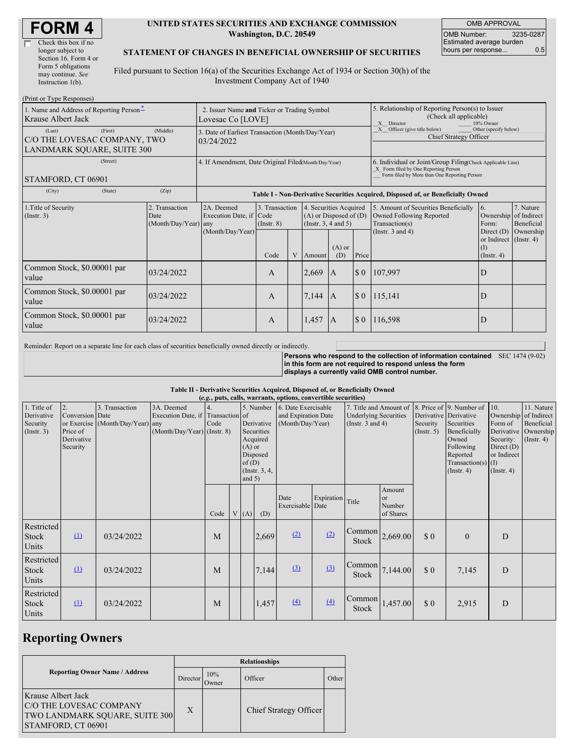| Check this box if no  |
|-----------------------|
| longer subject to     |
| Section 16. Form 4 or |
| Form 5 obligations    |
| may continue. See     |
| Instruction $1(b)$ .  |
|                       |

#### **UNITED STATES SECURITIES AND EXCHANGE COMMISSION Washington, D.C. 20549**

OMB APPROVAL OMB Number: 3235-0287 Estimated average burden hours per response... 0.5

### **STATEMENT OF CHANGES IN BENEFICIAL OWNERSHIP OF SECURITIES**

Filed pursuant to Section 16(a) of the Securities Exchange Act of 1934 or Section 30(h) of the Investment Company Act of 1940

| (Print or Type Responses)                                                              |                                                                  |                                                                                  |                                   |   |                                                                                  |                                                                                                       |                                                                                                                                                    |                                                                                    |                                                                   |                         |
|----------------------------------------------------------------------------------------|------------------------------------------------------------------|----------------------------------------------------------------------------------|-----------------------------------|---|----------------------------------------------------------------------------------|-------------------------------------------------------------------------------------------------------|----------------------------------------------------------------------------------------------------------------------------------------------------|------------------------------------------------------------------------------------|-------------------------------------------------------------------|-------------------------|
| 1. Name and Address of Reporting Person-<br>Krause Albert Jack                         | 2. Issuer Name and Ticker or Trading Symbol<br>Lovesac Co [LOVE] |                                                                                  |                                   |   |                                                                                  | 5. Relationship of Reporting Person(s) to Issuer<br>(Check all applicable)<br>10% Owner<br>X Director |                                                                                                                                                    |                                                                                    |                                                                   |                         |
| (First)<br>(Last)<br>C/O THE LOVESAC COMPANY, TWO<br><b>LANDMARK SOUARE, SUITE 300</b> | 3. Date of Earliest Transaction (Month/Day/Year)<br>03/24/2022   |                                                                                  |                                   |   |                                                                                  |                                                                                                       | Other (specify below)<br>X Officer (give title below)<br>Chief Strategy Officer                                                                    |                                                                                    |                                                                   |                         |
| (Street)<br>STAMFORD, CT 06901                                                         | 4. If Amendment, Date Original Filed Month/Day/Year)             |                                                                                  |                                   |   |                                                                                  |                                                                                                       | 6. Individual or Joint/Group Filing(Check Applicable Line)<br>X Form filed by One Reporting Person<br>Form filed by More than One Reporting Person |                                                                                    |                                                                   |                         |
| (City)<br>(State)                                                                      | (Zip)                                                            | Table I - Non-Derivative Securities Acquired, Disposed of, or Beneficially Owned |                                   |   |                                                                                  |                                                                                                       |                                                                                                                                                    |                                                                                    |                                                                   |                         |
| 1. Title of Security<br>(Insert. 3)                                                    | 2. Transaction<br>Date<br>$(Month/Day/Year)$ any                 | 2A. Deemed<br>Execution Date, if Code<br>(Month/Day/Year)                        | 3. Transaction<br>$($ Instr. $8)$ |   | 4. Securities Acquired<br>$(A)$ or Disposed of $(D)$<br>(Instr. $3, 4$ and $5$ ) |                                                                                                       |                                                                                                                                                    | 5. Amount of Securities Beneficially<br>Owned Following Reported<br>Transaction(s) | 16.<br>Ownership of Indirect<br>Form:                             | 7. Nature<br>Beneficial |
|                                                                                        |                                                                  |                                                                                  | Code                              | V | Amount                                                                           | $(A)$ or<br>(D)                                                                                       | Price                                                                                                                                              | (Instr. $3$ and $4$ )                                                              | Direct $(D)$<br>or Indirect (Instr. 4)<br>(I)<br>$($ Instr. 4 $)$ | Ownership               |
| Common Stock, \$0.00001 par<br>value                                                   | 03/24/2022                                                       |                                                                                  | A                                 |   | 2,669                                                                            | $\mathbf{A}$                                                                                          | $\boldsymbol{\mathsf{S}}$ 0                                                                                                                        | 107,997                                                                            | D                                                                 |                         |
| Common Stock, \$0.00001 par<br>value                                                   | 03/24/2022                                                       |                                                                                  | A                                 |   | 7,144                                                                            | $\overline{A}$                                                                                        | $\Omega$                                                                                                                                           | 115,141                                                                            | D                                                                 |                         |
| Common Stock, \$0.00001 par<br>value                                                   | 03/24/2022                                                       |                                                                                  | A                                 |   | 1,457                                                                            | I A                                                                                                   | $\boldsymbol{\mathsf{S}}$ 0                                                                                                                        | 116,598                                                                            | D                                                                 |                         |

Reminder: Report on a separate line for each class of securities beneficially owned directly or indirectly.

**Persons who respond to the collection of information contained** SEC 1474 (9-02) **in this form are not required to respond unless the form displays a currently valid OMB control number.**

#### **Table II - Derivative Securities Acquired, Disposed of, or Beneficially Owned**

| (e.g., puts, calls, warrants, options, convertible securities) |                                                             |                                                    |                                                                                |      |                                                                                                      |      |       |                                                                          |                  |                                                                                 |                                                |                                                  |                                                                                                                                                               |                                                                                              |                                                                                    |
|----------------------------------------------------------------|-------------------------------------------------------------|----------------------------------------------------|--------------------------------------------------------------------------------|------|------------------------------------------------------------------------------------------------------|------|-------|--------------------------------------------------------------------------|------------------|---------------------------------------------------------------------------------|------------------------------------------------|--------------------------------------------------|---------------------------------------------------------------------------------------------------------------------------------------------------------------|----------------------------------------------------------------------------------------------|------------------------------------------------------------------------------------|
| 1. Title of<br>Derivative<br>Security<br>$($ Instr. 3 $)$      | 2.<br>Conversion Date<br>Price of<br>Derivative<br>Security | 3. Transaction<br>or Exercise (Month/Day/Year) any | 3A. Deemed<br>Execution Date, if Transaction of<br>(Month/Day/Year) (Instr. 8) | Code | Derivative<br>Securities<br>Acquired<br>$(A)$ or<br>Disposed<br>of(D)<br>(Instr. $3, 4,$<br>and $5)$ |      |       | 5. Number 6. Date Exercisable<br>and Expiration Date<br>(Month/Day/Year) |                  | 7. Title and Amount of<br><b>Underlying Securities</b><br>(Instr. $3$ and $4$ ) |                                                | Security<br>(Insert. 5)                          | 8. Price of 9. Number of<br>Derivative Derivative<br>Securities<br>Beneficially<br>Owned<br>Following<br>Reported<br>Transaction(s) $(I)$<br>$($ Instr. 4 $)$ | 10.<br>Form of<br>Derivative<br>Security:<br>Direct $(D)$<br>or Indirect<br>$($ Instr. 4 $)$ | 11. Nature<br>Ownership of Indirect<br>Beneficial<br>Ownership<br>$($ Instr. 4 $)$ |
|                                                                |                                                             |                                                    |                                                                                | Code |                                                                                                      | V(A) | (D)   | Date<br>Exercisable Date                                                 | Expiration Title |                                                                                 | Amount<br><sub>or</sub><br>Number<br>of Shares |                                                  |                                                                                                                                                               |                                                                                              |                                                                                    |
| Restricted<br>Stock<br>Units                                   | $\Omega$                                                    | 03/24/2022                                         |                                                                                | M    |                                                                                                      |      | 2,669 | (2)                                                                      | (2)              | $\begin{bmatrix} \text{Common} \\ 2,669.00 \end{bmatrix}$<br>Stock              |                                                | $\boldsymbol{\mathsf{S}}\boldsymbol{\mathsf{0}}$ | $\overline{0}$                                                                                                                                                | D                                                                                            |                                                                                    |
| Restricted<br><b>Stock</b><br>Units                            | $\Omega$                                                    | 03/24/2022                                         |                                                                                | M    |                                                                                                      |      | 7,144 | $\Omega$                                                                 | (3)              | Common<br>Stock                                                                 | 7,144.00                                       | $\boldsymbol{\mathsf{S}}\boldsymbol{\mathsf{0}}$ | 7,145                                                                                                                                                         | D                                                                                            |                                                                                    |
| Restricted<br>Stock<br>Units                                   | $\Omega$                                                    | 03/24/2022                                         |                                                                                | M    |                                                                                                      |      | 1,457 | (4)                                                                      | (4)              | Common<br>Stock                                                                 | 1,457.00                                       | \$0                                              | 2,915                                                                                                                                                         | D                                                                                            |                                                                                    |

## **Reporting Owners**

|                                                                                                                     | <b>Relationships</b> |                     |                        |       |  |  |  |  |
|---------------------------------------------------------------------------------------------------------------------|----------------------|---------------------|------------------------|-------|--|--|--|--|
| <b>Reporting Owner Name / Address</b>                                                                               | Director             | 10%<br><b>Twner</b> | Officer                | Other |  |  |  |  |
| <b>Krause Albert Jack</b><br><b>C/O THE LOVESAC COMPANY</b><br>TWO LANDMARK SQUARE, SUITE 300<br>STAMFORD, CT 06901 | X                    |                     | Chief Strategy Officer |       |  |  |  |  |